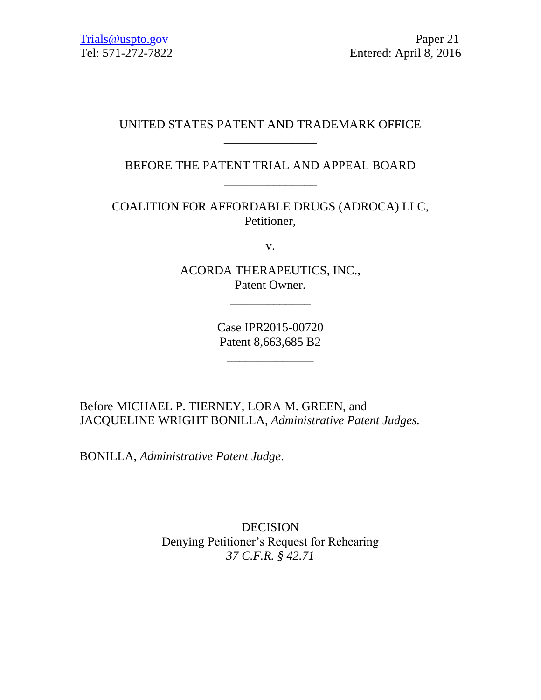## UNITED STATES PATENT AND TRADEMARK OFFICE \_\_\_\_\_\_\_\_\_\_\_\_\_\_\_

# BEFORE THE PATENT TRIAL AND APPEAL BOARD \_\_\_\_\_\_\_\_\_\_\_\_\_\_\_

COALITION FOR AFFORDABLE DRUGS (ADROCA) LLC, Petitioner,

v.

ACORDA THERAPEUTICS, INC., Patent Owner.

\_\_\_\_\_\_\_\_\_\_\_\_\_

Case IPR2015-00720 Patent 8,663,685 B2

\_\_\_\_\_\_\_\_\_\_\_\_\_\_

Before MICHAEL P. TIERNEY, LORA M. GREEN, and JACQUELINE WRIGHT BONILLA, *Administrative Patent Judges.* 

BONILLA, *Administrative Patent Judge*.

DECISION Denying Petitioner's Request for Rehearing *37 C.F.R. § 42.71*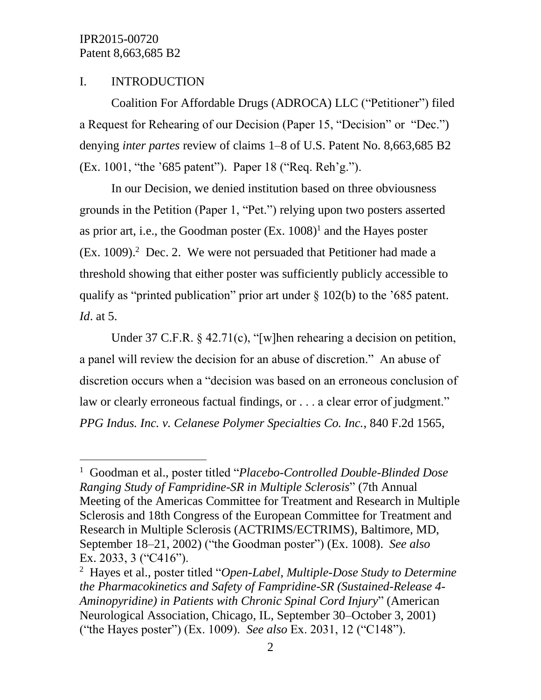l

## I. INTRODUCTION

Coalition For Affordable Drugs (ADROCA) LLC ("Petitioner") filed a Request for Rehearing of our Decision (Paper 15, "Decision" or "Dec.") denying *inter partes* review of claims 1–8 of U.S. Patent No. 8,663,685 B2 (Ex. 1001, "the '685 patent"). Paper 18 ("Req. Reh'g.").

In our Decision, we denied institution based on three obviousness grounds in the Petition (Paper 1, "Pet.") relying upon two posters asserted as prior art, i.e., the Goodman poster  $(Ex. 1008)^1$  and the Hayes poster  $(Ex. 1009).<sup>2</sup>$  Dec. 2. We were not persuaded that Petitioner had made a threshold showing that either poster was sufficiently publicly accessible to qualify as "printed publication" prior art under § 102(b) to the '685 patent. *Id*. at 5.

Under 37 C.F.R. § 42.71(c), "[w]hen rehearing a decision on petition, a panel will review the decision for an abuse of discretion." An abuse of discretion occurs when a "decision was based on an erroneous conclusion of law or clearly erroneous factual findings, or . . . a clear error of judgment." *PPG Indus. Inc. v. Celanese Polymer Specialties Co. Inc.*, 840 F.2d 1565,

<sup>1</sup> Goodman et al., poster titled "*Placebo-Controlled Double-Blinded Dose Ranging Study of Fampridine-SR in Multiple Sclerosis*" (7th Annual Meeting of the Americas Committee for Treatment and Research in Multiple Sclerosis and 18th Congress of the European Committee for Treatment and Research in Multiple Sclerosis (ACTRIMS/ECTRIMS), Baltimore, MD, September 18–21, 2002) ("the Goodman poster") (Ex. 1008). *See also* Ex. 2033, 3 ("C416").

<sup>2</sup> Hayes et al., poster titled "*Open-Label, Multiple-Dose Study to Determine the Pharmacokinetics and Safety of Fampridine-SR (Sustained-Release 4- Aminopyridine) in Patients with Chronic Spinal Cord Injury*" (American Neurological Association, Chicago, IL, September 30–October 3, 2001) ("the Hayes poster") (Ex. 1009). *See also* Ex. 2031, 12 ("C148").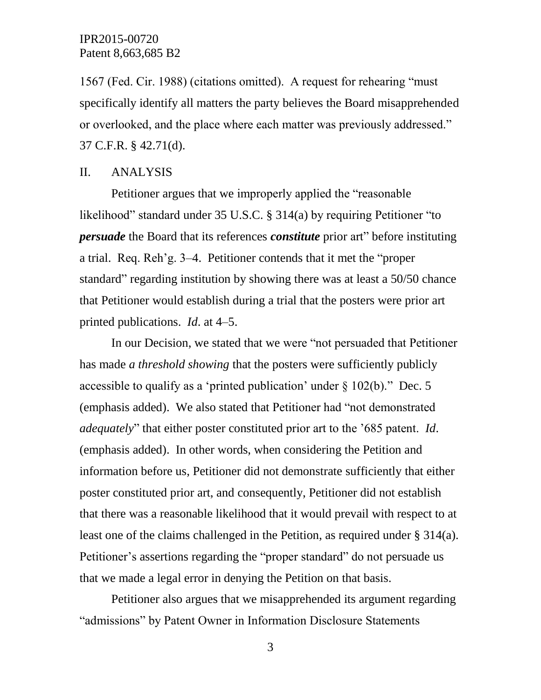1567 (Fed. Cir. 1988) (citations omitted). A request for rehearing "must specifically identify all matters the party believes the Board misapprehended or overlooked, and the place where each matter was previously addressed." 37 C.F.R. § 42.71(d).

#### II. ANALYSIS

Petitioner argues that we improperly applied the "reasonable likelihood" standard under 35 U.S.C. § 314(a) by requiring Petitioner "to *persuade* the Board that its references *constitute* prior art" before instituting a trial. Req. Reh'g. 3–4. Petitioner contends that it met the "proper standard" regarding institution by showing there was at least a 50/50 chance that Petitioner would establish during a trial that the posters were prior art printed publications. *Id*. at 4–5.

In our Decision, we stated that we were "not persuaded that Petitioner has made *a threshold showing* that the posters were sufficiently publicly accessible to qualify as a 'printed publication' under  $\S$  102(b)." Dec. 5 (emphasis added). We also stated that Petitioner had "not demonstrated *adequately*" that either poster constituted prior art to the '685 patent. *Id*. (emphasis added). In other words, when considering the Petition and information before us, Petitioner did not demonstrate sufficiently that either poster constituted prior art, and consequently, Petitioner did not establish that there was a reasonable likelihood that it would prevail with respect to at least one of the claims challenged in the Petition, as required under § 314(a). Petitioner's assertions regarding the "proper standard" do not persuade us that we made a legal error in denying the Petition on that basis.

Petitioner also argues that we misapprehended its argument regarding "admissions" by Patent Owner in Information Disclosure Statements

3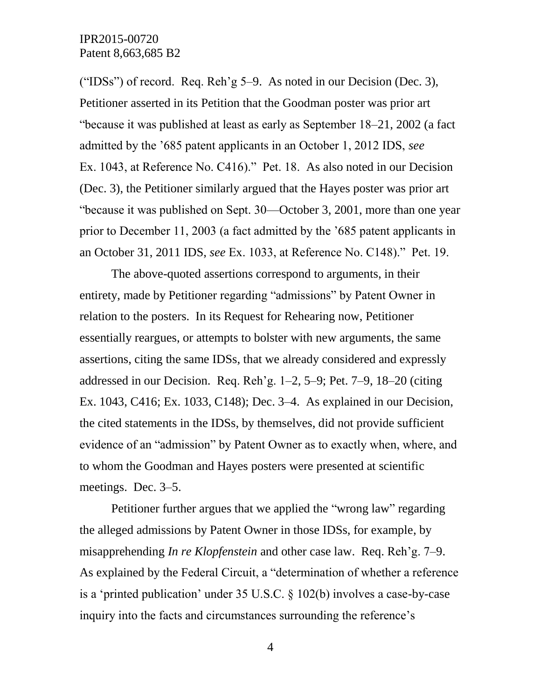("IDSs") of record. Req. Reh'g  $5-9$ . As noted in our Decision (Dec. 3), Petitioner asserted in its Petition that the Goodman poster was prior art "because it was published at least as early as September 18–21, 2002 (a fact admitted by the '685 patent applicants in an October 1, 2012 IDS, *see*  Ex. 1043, at Reference No. C416)." Pet. 18. As also noted in our Decision (Dec. 3), the Petitioner similarly argued that the Hayes poster was prior art "because it was published on Sept. 30—October 3, 2001, more than one year prior to December 11, 2003 (a fact admitted by the '685 patent applicants in an October 31, 2011 IDS, *see* Ex. 1033, at Reference No. C148)." Pet. 19.

The above-quoted assertions correspond to arguments, in their entirety, made by Petitioner regarding "admissions" by Patent Owner in relation to the posters. In its Request for Rehearing now, Petitioner essentially reargues, or attempts to bolster with new arguments, the same assertions, citing the same IDSs, that we already considered and expressly addressed in our Decision. Req. Reh'g. 1–2, 5–9; Pet. 7–9, 18–20 (citing Ex. 1043, C416; Ex. 1033, C148); Dec. 3–4. As explained in our Decision, the cited statements in the IDSs, by themselves, did not provide sufficient evidence of an "admission" by Patent Owner as to exactly when, where, and to whom the Goodman and Hayes posters were presented at scientific meetings. Dec. 3–5.

Petitioner further argues that we applied the "wrong law" regarding the alleged admissions by Patent Owner in those IDSs, for example, by misapprehending *In re Klopfenstein* and other case law. Req. Reh'g. 7–9. As explained by the Federal Circuit, a "determination of whether a reference is a 'printed publication' under 35 U.S.C. § 102(b) involves a case-by-case inquiry into the facts and circumstances surrounding the reference's

4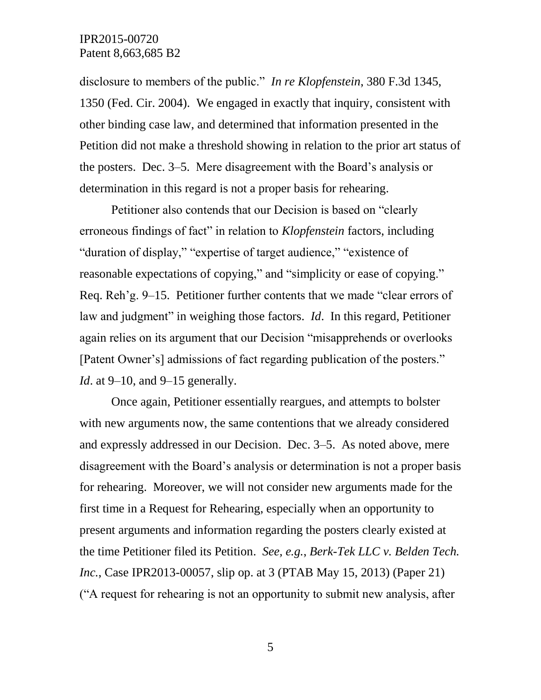disclosure to members of the public." *In re Klopfenstein*, 380 F.3d 1345, 1350 (Fed. Cir. 2004). We engaged in exactly that inquiry, consistent with other binding case law, and determined that information presented in the Petition did not make a threshold showing in relation to the prior art status of the posters. Dec. 3–5. Mere disagreement with the Board's analysis or determination in this regard is not a proper basis for rehearing.

Petitioner also contends that our Decision is based on "clearly erroneous findings of fact" in relation to *Klopfenstein* factors, including "duration of display," "expertise of target audience," "existence of reasonable expectations of copying," and "simplicity or ease of copying." Req. Reh'g. 9–15. Petitioner further contents that we made "clear errors of law and judgment" in weighing those factors. *Id*. In this regard, Petitioner again relies on its argument that our Decision "misapprehends or overlooks [Patent Owner's] admissions of fact regarding publication of the posters." *Id.* at 9–10, and 9–15 generally.

Once again, Petitioner essentially reargues, and attempts to bolster with new arguments now, the same contentions that we already considered and expressly addressed in our Decision. Dec. 3–5. As noted above, mere disagreement with the Board's analysis or determination is not a proper basis for rehearing. Moreover, we will not consider new arguments made for the first time in a Request for Rehearing, especially when an opportunity to present arguments and information regarding the posters clearly existed at the time Petitioner filed its Petition. *See, e.g.*, *Berk-Tek LLC v. Belden Tech. Inc.*, Case IPR2013-00057, slip op. at 3 (PTAB May 15, 2013) (Paper 21) ("A request for rehearing is not an opportunity to submit new analysis, after

5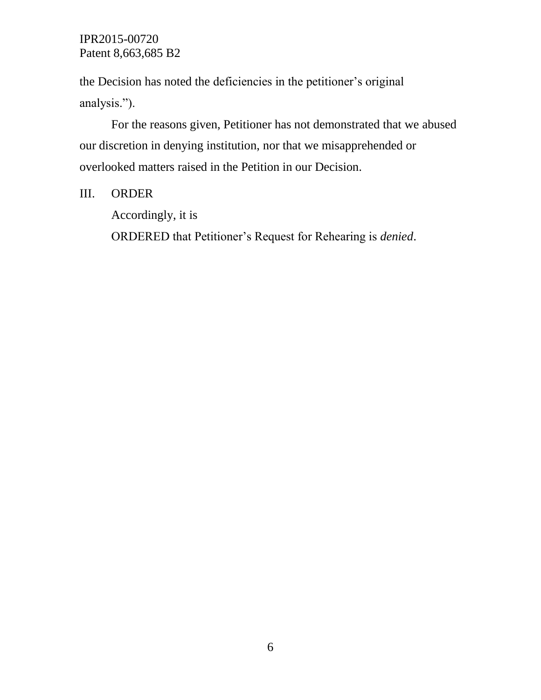the Decision has noted the deficiencies in the petitioner's original analysis.").

For the reasons given, Petitioner has not demonstrated that we abused our discretion in denying institution, nor that we misapprehended or overlooked matters raised in the Petition in our Decision.

### III. ORDER

Accordingly, it is ORDERED that Petitioner's Request for Rehearing is *denied*.